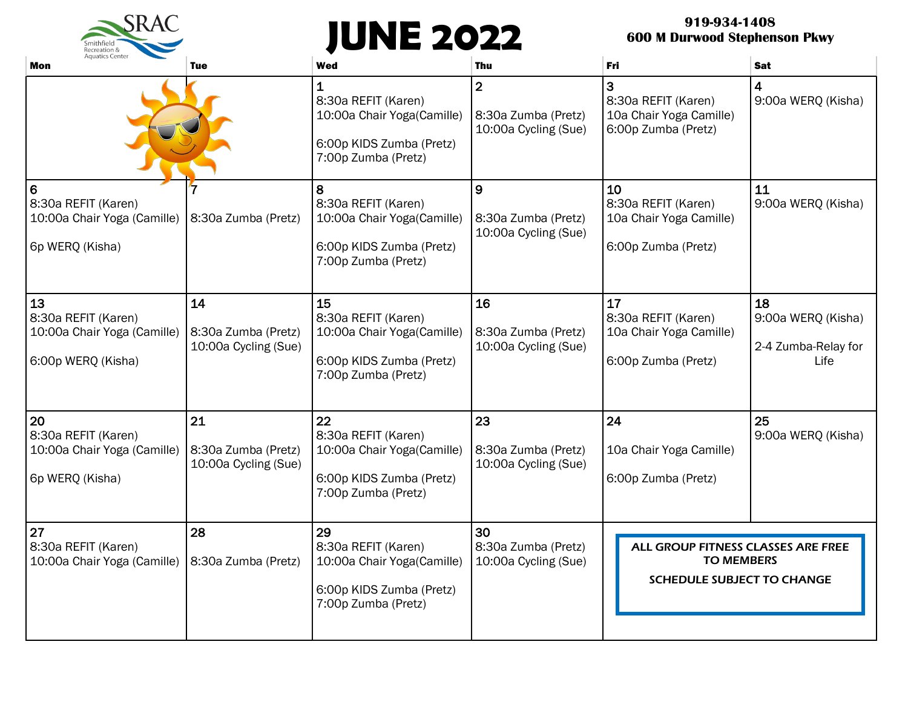# **JUNE 2022**

 $SRAC$ 

Smithfield

# **919-934-1408 600 M Durwood Stephenson Pkwy**

| <b>Aquatics Center</b><br>Mon                                                  | <b>Tue</b>                                        | <b>Wed</b>                                                                                                 | Thu                                                           | Fri                                                                                          | <b>Sat</b>                                              |
|--------------------------------------------------------------------------------|---------------------------------------------------|------------------------------------------------------------------------------------------------------------|---------------------------------------------------------------|----------------------------------------------------------------------------------------------|---------------------------------------------------------|
|                                                                                |                                                   | 1<br>8:30a REFIT (Karen)<br>10:00a Chair Yoga(Camille)<br>6:00p KIDS Zumba (Pretz)<br>7:00p Zumba (Pretz)  | $\overline{2}$<br>8:30a Zumba (Pretz)<br>10:00a Cycling (Sue) | 3<br>8:30a REFIT (Karen)<br>10a Chair Yoga Camille)<br>6:00p Zumba (Pretz)                   | 4<br>9:00a WERQ (Kisha)                                 |
| 6<br>8:30a REFIT (Karen)<br>10:00a Chair Yoga (Camille)<br>6p WERQ (Kisha)     | 8:30a Zumba (Pretz)                               | 8<br>8:30a REFIT (Karen)<br>10:00a Chair Yoga(Camille)<br>6:00p KIDS Zumba (Pretz)<br>7:00p Zumba (Pretz)  | 9<br>8:30a Zumba (Pretz)<br>10:00a Cycling (Sue)              | 10<br>8:30a REFIT (Karen)<br>10a Chair Yoga Camille)<br>6:00p Zumba (Pretz)                  | 11<br>9:00a WERQ (Kisha)                                |
| 13<br>8:30a REFIT (Karen)<br>10:00a Chair Yoga (Camille)<br>6:00p WERQ (Kisha) | 14<br>8:30a Zumba (Pretz)<br>10:00a Cycling (Sue) | 15<br>8:30a REFIT (Karen)<br>10:00a Chair Yoga(Camille)<br>6:00p KIDS Zumba (Pretz)<br>7:00p Zumba (Pretz) | 16<br>8:30a Zumba (Pretz)<br>10:00a Cycling (Sue)             | 17<br>8:30a REFIT (Karen)<br>10a Chair Yoga Camille)<br>6:00p Zumba (Pretz)                  | 18<br>9:00a WERQ (Kisha)<br>2-4 Zumba-Relay for<br>Life |
| 20<br>8:30a REFIT (Karen)<br>10:00a Chair Yoga (Camille)<br>6p WERQ (Kisha)    | 21<br>8:30a Zumba (Pretz)<br>10:00a Cycling (Sue) | 22<br>8:30a REFIT (Karen)<br>10:00a Chair Yoga(Camille)<br>6:00p KIDS Zumba (Pretz)<br>7:00p Zumba (Pretz) | 23<br>8:30a Zumba (Pretz)<br>10:00a Cycling (Sue)             | 24<br>10a Chair Yoga Camille)<br>6:00p Zumba (Pretz)                                         | 25<br>9:00a WERQ (Kisha)                                |
| 27<br>8:30a REFIT (Karen)<br>10:00a Chair Yoga (Camille)                       | 28<br>8:30a Zumba (Pretz)                         | 29<br>8:30a REFIT (Karen)<br>10:00a Chair Yoga(Camille)<br>6:00p KIDS Zumba (Pretz)<br>7:00p Zumba (Pretz) | 30<br>8:30a Zumba (Pretz)<br>10:00a Cycling (Sue)             | ALL GROUP FITNESS CLASSES ARE FREE<br><b>TO MEMBERS</b><br><b>SCHEDULE SUBJECT TO CHANGE</b> |                                                         |